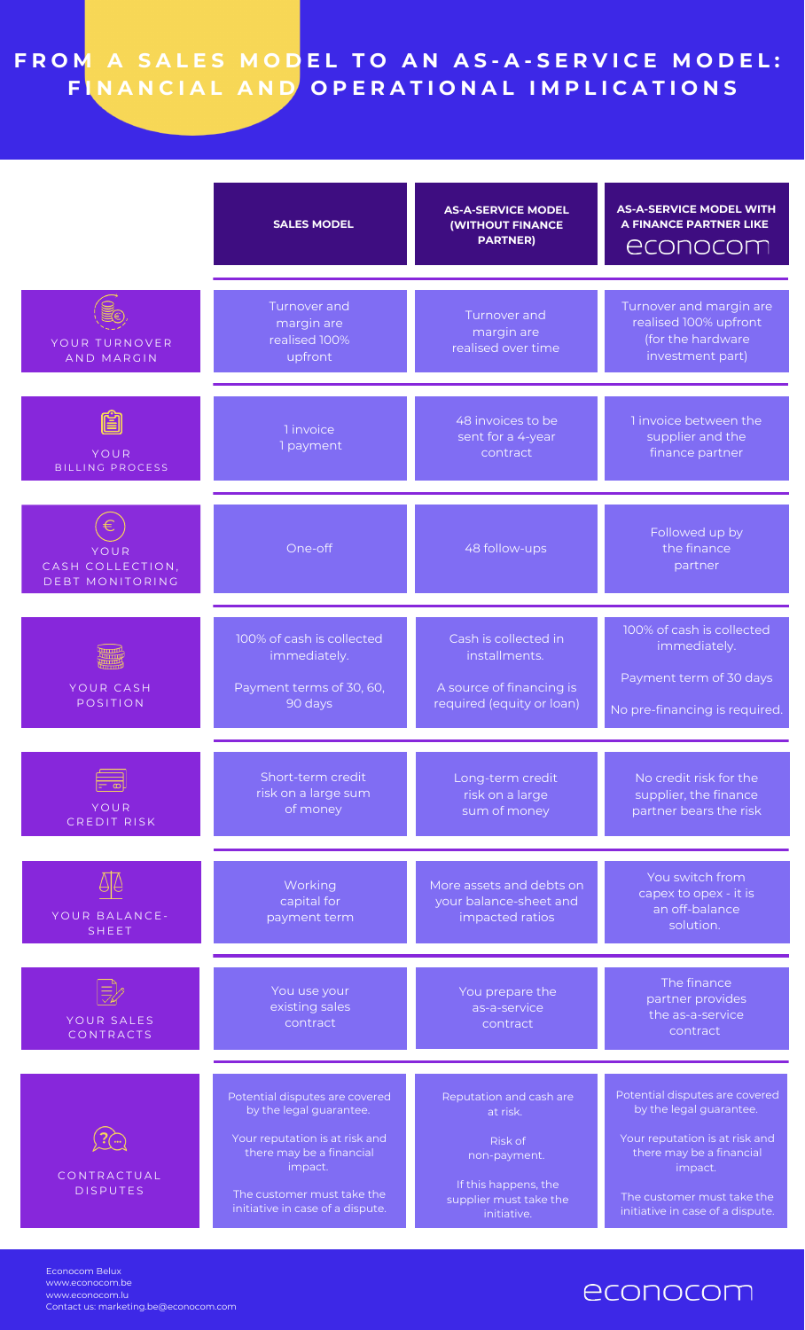## FROM A SALES MODEL TO AN AS-A-SERVICE MODEL: FINANCIAL AND OPERATIONAL IMPLICATIONS

|                                                    | <b>SALES MODEL</b>                                                                                                                                                                                   | <b>AS-A-SERVICE MODEL</b><br><b>(WITHOUT FINANCE</b><br><b>PARTNER)</b>                                                                | <b>AS-A-SERVICE MODEL WITH</b><br><b>A FINANCE PARTNER LIKE</b><br>econocom                                                                                                                          |
|----------------------------------------------------|------------------------------------------------------------------------------------------------------------------------------------------------------------------------------------------------------|----------------------------------------------------------------------------------------------------------------------------------------|------------------------------------------------------------------------------------------------------------------------------------------------------------------------------------------------------|
| YOUR TURNOVER<br><b>AND MARGIN</b>                 | Turnover and<br>margin are<br>realised 100%<br>upfront                                                                                                                                               | Turnover and<br>margin are<br>realised over time                                                                                       | Turnover and margin are<br>realised 100% upfront<br>(for the hardware<br>investment part)                                                                                                            |
| ëi<br><b>YOUR</b><br><b>BILLING PROCESS</b>        | 1 invoice<br>1 payment                                                                                                                                                                               | 48 invoices to be<br>sent for a 4-year<br>contract                                                                                     | 1 invoice between the<br>supplier and the<br>finance partner                                                                                                                                         |
| YOUR<br>CASH COLLECTION,<br><b>DEBT MONITORING</b> | One-off                                                                                                                                                                                              | 48 follow-ups                                                                                                                          | Followed up by<br>the finance<br>partner                                                                                                                                                             |
| YOUR CASH<br>POSITION                              | 100% of cash is collected<br>immediately.<br>Payment terms of 30, 60,<br>90 days                                                                                                                     | Cash is collected in<br>installments.<br>A source of financing is<br>required (equity or loan)                                         | 100% of cash is collected<br>immediately.<br>Payment term of 30 days<br>No pre-financing is required.                                                                                                |
| YOUR<br>CREDIT RISK                                | Short-term credit<br>risk on a large sum<br>of money                                                                                                                                                 | Long-term credit<br>risk on a large<br>sum of money                                                                                    | No credit risk for the<br>supplier, the finance<br>partner bears the risk                                                                                                                            |
| YOUR BALANCE-<br><b>SHEET</b>                      | Working<br>capital for<br>payment term                                                                                                                                                               | More assets and debts on<br>your balance-sheet and<br>impacted ratios                                                                  | You switch from<br>capex to opex - it is<br>an off-balance<br>solution.                                                                                                                              |
| YOUR SALES<br>CONTRACTS                            | You use your<br>existing sales<br>contract                                                                                                                                                           | You prepare the<br>as-a-service<br>contract                                                                                            | The finance<br>partner provides<br>the as-a-service<br>contract                                                                                                                                      |
| CONTRACTUAL<br><b>DISPUTES</b>                     | Potential disputes are covered<br>by the legal guarantee.<br>Your reputation is at risk and<br>there may be a financial<br>impact.<br>The customer must take the<br>initiative in case of a dispute. | Reputation and cash are<br>at risk.<br><b>Risk of</b><br>non-payment.<br>If this happens, the<br>supplier must take the<br>initiative. | Potential disputes are covered<br>by the legal guarantee.<br>Your reputation is at risk and<br>there may be a financial<br>impact.<br>The customer must take the<br>initiative in case of a dispute. |

Econocom Belux www.econocom.be www.econocom.lu Contact us: [marketing.be@econocom.com](https://www.econocom.be/fr)

## econocom